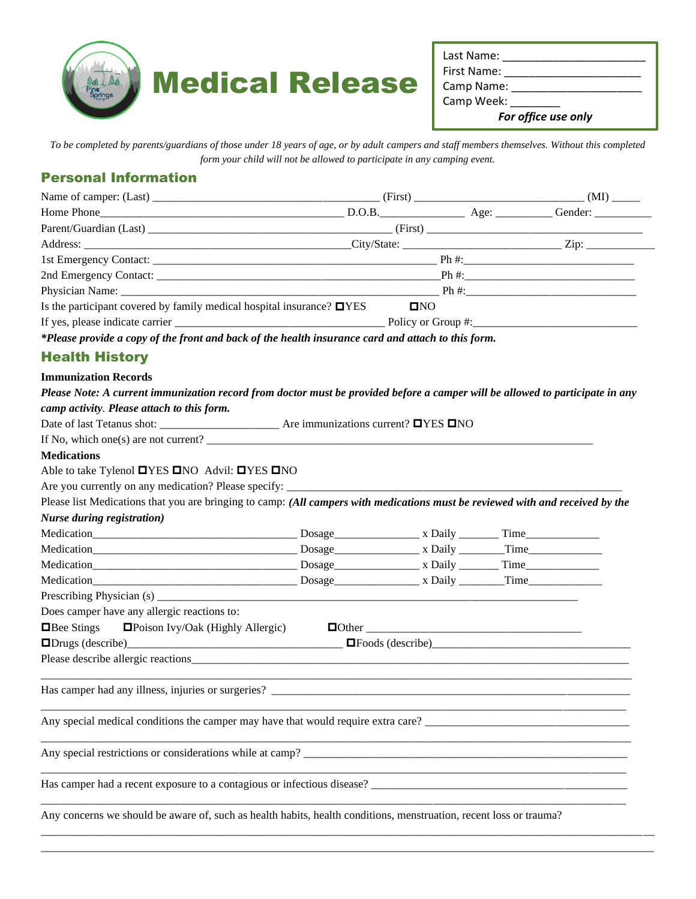

| Last Name:          |  |  |  |  |
|---------------------|--|--|--|--|
| First Name:         |  |  |  |  |
| Camp Name:          |  |  |  |  |
| Camp Week:          |  |  |  |  |
| For office use only |  |  |  |  |

*To be completed by parents/guardians of those under 18 years of age, or by adult campers and staff members themselves. Without this completed form your child will not be allowed to participate in any camping event.*

## Personal Information

|                                                                                                    | $(Kirst)$ $(MI)$                 |  |  |  |
|----------------------------------------------------------------------------------------------------|----------------------------------|--|--|--|
|                                                                                                    |                                  |  |  |  |
|                                                                                                    |                                  |  |  |  |
|                                                                                                    |                                  |  |  |  |
|                                                                                                    |                                  |  |  |  |
|                                                                                                    |                                  |  |  |  |
|                                                                                                    | Physician Name: $\Box$ Ph $\#$ : |  |  |  |
| Is the participant covered by family medical hospital insurance? $\Box$ YES                        | $\square$ NO                     |  |  |  |
|                                                                                                    |                                  |  |  |  |
| *Please provide a copy of the front and back of the health insurance card and attach to this form. |                                  |  |  |  |
|                                                                                                    |                                  |  |  |  |

## Health History

#### **Immunization Records**

| Please Note: A current immunization record from doctor must be provided before a camper will be allowed to participate in any  |  |  |  |  |  |
|--------------------------------------------------------------------------------------------------------------------------------|--|--|--|--|--|
| camp activity. Please attach to this form.                                                                                     |  |  |  |  |  |
|                                                                                                                                |  |  |  |  |  |
| If No, which one(s) are not current? $\frac{1}{\sqrt{1-\frac{1}{2}}}\left[\frac{1}{\sqrt{1-\frac{1}{2}}}\right]$               |  |  |  |  |  |
| <b>Medications</b>                                                                                                             |  |  |  |  |  |
| Able to take Tylenol <b>OYES ONO</b> Advil: <b>OYES ONO</b>                                                                    |  |  |  |  |  |
| Are you currently on any medication? Please specify: ____________________________                                              |  |  |  |  |  |
| Please list Medications that you are bringing to camp: (All campers with medications must be reviewed with and received by the |  |  |  |  |  |
| <b>Nurse during registration</b> )                                                                                             |  |  |  |  |  |
|                                                                                                                                |  |  |  |  |  |
|                                                                                                                                |  |  |  |  |  |
|                                                                                                                                |  |  |  |  |  |
|                                                                                                                                |  |  |  |  |  |
|                                                                                                                                |  |  |  |  |  |
| Does camper have any allergic reactions to:                                                                                    |  |  |  |  |  |
|                                                                                                                                |  |  |  |  |  |
|                                                                                                                                |  |  |  |  |  |
|                                                                                                                                |  |  |  |  |  |
|                                                                                                                                |  |  |  |  |  |
|                                                                                                                                |  |  |  |  |  |
|                                                                                                                                |  |  |  |  |  |
| Any special restrictions or considerations while at camp?                                                                      |  |  |  |  |  |
|                                                                                                                                |  |  |  |  |  |
| Any concerns we should be aware of, such as health habits, health conditions, menstruation, recent loss or trauma?             |  |  |  |  |  |

\_\_\_\_\_\_\_\_\_\_\_\_\_\_\_\_\_\_\_\_\_\_\_\_\_\_\_\_\_\_\_\_\_\_\_\_\_\_\_\_\_\_\_\_\_\_\_\_\_\_\_\_\_\_\_\_\_\_\_\_\_\_\_\_\_\_\_\_\_\_\_\_\_\_\_\_\_\_\_\_\_\_\_\_\_\_\_\_\_\_\_\_\_\_\_\_\_\_\_\_\_\_\_\_\_\_\_\_ \_\_\_\_\_\_\_\_\_\_\_\_\_\_\_\_\_\_\_\_\_\_\_\_\_\_\_\_\_\_\_\_\_\_\_\_\_\_\_\_\_\_\_\_\_\_\_\_\_\_\_\_\_\_\_\_\_\_\_\_\_\_\_\_\_\_\_\_\_\_\_\_\_\_\_\_\_\_\_\_\_\_\_\_\_\_\_\_\_\_\_\_\_\_\_\_\_\_\_\_\_\_\_\_\_\_\_\_